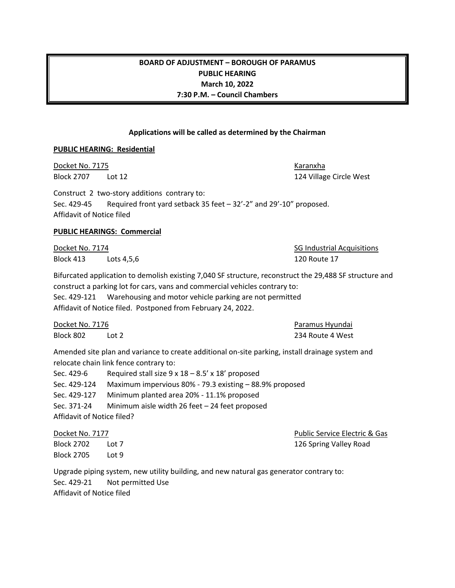## **BOARD OF ADJUSTMENT – BOROUGH OF PARAMUS PUBLIC HEARING March 10, 2022 7:30 P.M. – Council Chambers**

#### **Applications will be called as determined by the Chairman**

#### **PUBLIC HEARING: Residential**

Docket No. 7175 Karanxha

Construct 2 two-story additions contrary to: Sec. 429-45 Required front yard setback 35 feet – 32'-2" and 29'-10" proposed. Affidavit of Notice filed

#### **PUBLIC HEARINGS: Commercial**

Block 413 Lots 4,5,6 120 Route 17

Bifurcated application to demolish existing 7,040 SF structure, reconstruct the 29,488 SF structure and construct a parking lot for cars, vans and commercial vehicles contrary to: Sec. 429-121 Warehousing and motor vehicle parking are not permitted Affidavit of Notice filed. Postponed from February 24, 2022.

Docket No. 7176 **Paramus Hyundai** Paramus Hyundai Block 802 Lot 2 234 Route 4 West

Amended site plan and variance to create additional on-site parking, install drainage system and relocate chain link fence contrary to:

| Sec. 429-6                 | Required stall size $9 \times 18 - 8.5' \times 18'$ proposed |
|----------------------------|--------------------------------------------------------------|
| Sec. 429-124               | Maximum impervious 80% - 79.3 existing - 88.9% proposed      |
| Sec. 429-127               | Minimum planted area 20% - 11.1% proposed                    |
| Sec. 371-24                | Minimum aisle width 26 feet - 24 feet proposed               |
| Affidavit of Notice filed? |                                                              |

Block 2705 Lot 9

**Docket No. 7177 Public Service Electric & Gas** Block 2702 Lot 7 126 Spring Valley Road

Upgrade piping system, new utility building, and new natural gas generator contrary to: Sec. 429-21 Not permitted Use Affidavit of Notice filed

Block 2707 Lot 12 2008 2009 124 Village Circle West

Docket No. 7174 **SG Industrial Acquisitions** SG Industrial Acquisitions